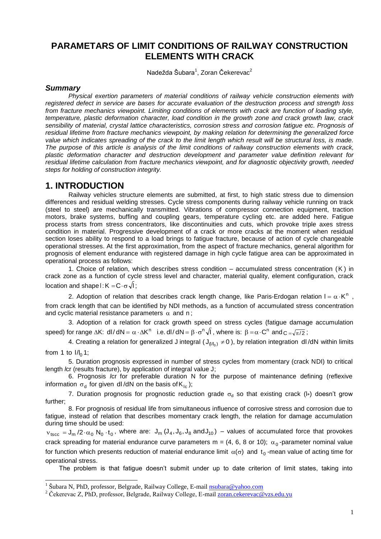# **PARAMETARS OF LIMIT CONDITIONS OF RAILWAY CONSTRUCTION ELEMENTS WITH CRACK**

Nadežda Šubara<sup>1</sup>, Zoran Čekerevac<sup>2</sup>

#### *Summary*

 $\overline{a}$ 

*Physical exertion parameters of material conditions of railway vehicle construction elements with registered defect in service are bases for accurate evaluation of the destruction process and strength loss from fracture mechanics viewpoint. Limiting conditions of elements with crack are function of loading style, temperature, plastic deformation character, load condition in the growth zone and crack growth law, crack sensibility of material, crystal lattice characteristics, corrosion stress and corrosion fatigue etc. Prognosis of residual lifetime from fracture mechanics viewpoint, by making relation for determining the generalized force value which indicates spreading of the crack to the limit length which result will be structural loss, is made. The purpose of this article is analysis of the limit conditions of railway construction elements with crack, plastic deformation character and destruction development and parameter value definition relevant for residual lifetime calculation from fracture mechanics viewpoint, and for diagnostic objectivity growth, needed steps for holding of construction integrity.*

### **1. INTRODUCTION**

Railway vehicles structure elements are submitted, at first, to high static stress due to dimension differences and residual welding stresses. Cycle stress components during railway vehicle running on track (steel to steel) are mechanically transmitted. Vibrations of compressor connection equipment, traction motors, brake systems, buffing and coupling gears, temperature cycling etc. are added here. Fatigue process starts from stress concentrators, like discontinuities and cuts, which provoke triple axes stress condition in material. Progressive development of a crack or more cracks at the moment when residual section loses ability to respond to a load brings to fatigue fracture, because of action of cycle changeable operational stresses. At the first approximation, from the aspect of fracture mechanics, general algorithm for prognosis of element endurance with registered damage in high cycle fatigue area can be approximated in operational process as follows:

1. Choice of relation, which describes stress condition – accumulated stress concentration ( K ) in crack zone as a function of cycle stress level and character, material quality, element configuration, crack location and shape l : K  $=\mathsf{C}\cdot\sigma\,\sqrt{\mathsf{I}}$  ;

2. Adoption of relation that describes crack length change, like Paris-Erdogan relation  $I = \alpha \cdot K^n$ , from crack length that can be identified by NDI methods, as a function of accumulated stress concentration and cyclic material resistance parameters  $\,\alpha\,$  and  $\,\mathsf n\,;$ 

3. Adoption of a relation for crack growth speed on stress cycles (fatigue damage accumulation speed) for range  $\Delta$ K: dl/dN =  $\alpha \cdot \Delta$ K<sup>n</sup> i.e. dl/dN =  $\beta \cdot \sigma^n \sqrt{I}$  , where is:  $\beta$  =  $\alpha \cdot$ C<sup>n</sup> and c = $\sqrt{\pi/2}$  ;

4. Creating a relation for generalized J integral ( $J_{(1/l_0)} \neq 0$ ), by relation integration dl/dN within limits from 1 to  $I/I_0$  1;

5. Duration prognosis expressed in number of stress cycles from momentary (crack NDI) to critical length *l*cr (results fracture), by application of integral value J;

6. Prognosis *l*cr for preferable duration N for the purpose of maintenance defining (reflexive information  $\sigma_{\sf d}$  for given dl/dN on the basis of K<sub>Ic</sub>);

7. Duration prognosis for prognostic reduction grade  $\sigma_d$  so that existing crack (l\*) doesn't grow further;

8. For prognosis of residual life from simultaneous influence of corrosive stress and corrosion due to fatigue, instead of relation that describes momentary crack length, the relation for damage accumulation during time should be used:

 $v_{tscc} = J_m / 2 \cdot \alpha_0 N_0 \cdot t_0$ , where are:  $J_m (J_4, J_6, J_8 \text{ and } J_{10})$  – values of accumulated force that provokes crack spreading for material endurance curve parameters m = (4, 6, 8 or 10);  $\alpha_0$ -parameter nominal value for function which presents reduction of material endurance limit  $\alpha(\sigma)$  and  $\mathfrak{t}_0$  -mean value of acting time for operational stress.

The problem is that fatigue doesn't submit under up to date criterion of limit states, taking into

<sup>&</sup>lt;sup>1</sup> Šubara N, PhD, professor, Belgrade, Railway College, E-mail **nsubara@yahoo.com** 

<sup>&</sup>lt;sup>2</sup> Čekerevac Z, PhD, professor, Belgrade, Railway College, E-mail **zoran.cekerevac@vzs.edu.yu**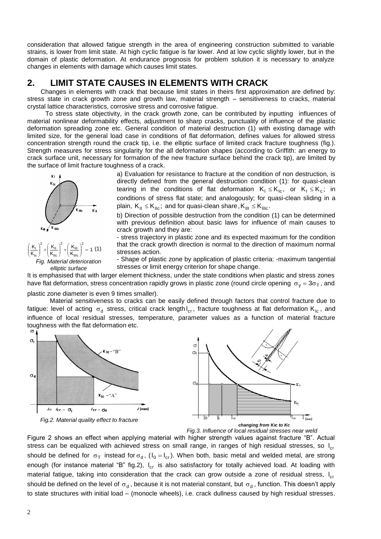consideration that allowed fatigue strength in the area of engineering construction submitted to variable strains, is lower from limit state. At high cyclic fatigue is far lower. And at low cyclic slightly lower, but in the domain of plastic deformation. At endurance prognosis for problem solution it is necessary to analyze changes in elements with damage which causes limit states.

## **2. LIMIT STATE CAUSES IN ELEMENTS WITH CRACK**

Changes in elements with crack that because limit states in theirs first approximation are defined by: stress state in crack growth zone and growth law, material strength – sensitiveness to cracks, material crystal lattice characteristics, corrosive stress and corrosive fatigue.

To stress state objectivity, in the crack growth zone, can be contributed by inputting influences of material nonlinear deformability effects, adjustment to sharp cracks, punctuality of influence of the plastic deformation spreading zone etc. General condition of material destruction (1) with existing damage with limited size, for the general load case in conditions of flat deformation, defines values for allowed stress concentration strength round the crack tip, i.e. the elliptic surface of limited crack fracture toughness (fig.). Strength measures for stress singularity for the all deformation shapes (according to Griffith: an energy to crack surface unit, necessary for formation of the new fracture surface behind the crack tip), are limited by the surface of limit fracture toughness of a crack.

 $\frac{1.4 \text{ m}}{K_{\text{IIIC}}}$  = 1 K K K K  $K_{\parallel}$ <sup>2</sup>  $(K_{\parallel}$ <sup>2</sup>  $(K_{\parallel}$ <sup>2</sup> IIIc  $\frac{2}{1}$  $(K_{\text{III}}$ IIc  $\frac{2}{1}$  $\left(\frac{K_{\parallel}}{1} \right)$ Ic  $\frac{1}{K}$  +  $\frac{N_{\text{II}}}{K_{\text{II}}}$  +  $\frac{N_{\text{III}}}{K_{\text{III}}}$  = J J. L L  $\Bigg\vert^{2} + \Bigg($ J J.  $\mathbf{I}$ L  $\Bigg\}$  +  $\Bigg($ J J. L L  $\left(\frac{K_{\rm L}}{M_{\rm L}}\right)^2 + \left(\frac{K_{\rm H}}{M_{\rm L}}\right)^2 + \left(\frac{K_{\rm H}}{M_{\rm L}}\right)^2 = 1$  (1) *Fig. Material deterioration elliptic surface*

a) Evaluation for resistance to fracture at the condition of non destruction, is directly defined from the general destruction condition (1): for quasi-clean tearing in the conditions of flat deformation  $K_1 \leq K_{lc}$ , or  $K_1 \leq K_c$ ; in conditions of stress flat state; and analogously; for quasi-clean sliding in a plain,  $\mathsf{K}_{\rm{II}}\leq\mathsf{K}_{\rm{Ilc}}$ ; and for quasi-clean share, $\mathsf{K}_{\rm{III}}\leq\mathsf{K}_{\rm{IIlc}}.$ 

b) Direction of possible destruction from the condition (1) can be determined with previous definition about basic laws for influence of main causes to crack growth and they are:

- stress trajectory in plastic zone and its expected maximum for the condition that the crack growth direction is normal to the direction of maximum normal stresses action.

- Shape of plastic zone by application of plastic criteria: -maximum tangential stresses or limit energy criterion for shape change.

It is emphasised that with larger element thickness, under the state conditions when plastic and stress zones have flat deformation, stress concentration rapidly grows in plastic zone (round circle opening  $\sigma_y = 3\sigma_T$ , and

plastic zone diameter is even 9 times smaller).

Material sensitiveness to cracks can be easily defined through factors that control fracture due to fatigue: level of acting  $\sigma_d$  stress, critical crack lengthl<sub>cr</sub>, fracture toughness at flat deformation K<sub>Ic</sub>, and influence of local residual stresses, temperature, parameter values as a function of material fracture toughness with the flat deformation etc.





*Fig.3. Influence of local residual stresses near weld*

Figure 2 shows an effect when applying material with higher strength values against fracture "B". Actual stress can be equalized with achieved stress on small range, in ranges of high residual stresses, so l<sub>cr</sub> should be defined for  $\sigma_T$  instead for  $\sigma_d$ , ( $I_0 = I_{cr}$ ). When both, basic metal and welded metal, are strong enough (for instance material "B" fig.2), l<sub>cr</sub> is also satisfactory for totally achieved load. At loading with material fatigue, taking into consideration that the crack can grow outside a zone of residual stress, l<sub>cr</sub> should be defined on the level of  $\sigma_d$ , because it is not material constant, but  $\sigma_d$ , function. This doesn't apply to state structures with initial load – (monocle wheels), i.e. crack dullness caused by high residual stresses.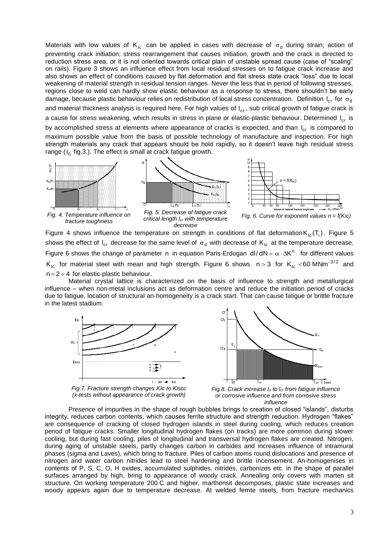Materials with low values of  $\mathsf{K}_{\mathsf{lc}}$  can be applied in cases with decrease of  $\mathsf{\sigma}_\mathsf{d}$  during strain; action of preventing crack initiation; stress rearrangement that causes initiation, growth and the crack is directed to reduction stress area, or it is not oriented towards critical plain of unstable spread cause (case of "scaling" on rails). Figure 3 shows an influence effect from local residual stresses on to fatigue crack increase and also shows an effect of conditions caused by flat deformation and flat stress state crack "loss" due to local weakening of material strength in residual tension ranges. Never the less that in period of following stresses, regions close to weld can hardly show elastic behaviour as a response to stress, there shouldn't be early damage, because plastic behaviour relies on redistribution of local stress concentration. Definition l<sub>cr</sub> for  $\sigma_{\rm d}$ and material thickness analysis is required here. For high values of  $\mathsf{I}_{\mathsf{cr}}$ , sub critical growth of fatigue crack is a cause for stress weakening, which results in stress in plane or elastic-plastic behaviour. Determined l<sub>cr</sub> is by accomplished stress at elements where appearance of cracks is expected, and than  $I_{cr}$  is compared to maximum possible value from the basis of possible technology of manufacture and inspection. For high strength materials any crack that appears should be hold rapidly, so it doesn't leave high residual stress range (I $_{\rm 0}$  fig.3.). The effect is small at crack fatigue growth.



Figure 4 shows influence the temperature on strength in conditions of flat deformation $K_{lc}(T_i)$ . Figure 5 shows the effect of  $I_{cr}$  decrease for the same level of  $\sigma_d$  with decrease of  $K_{lc}$  at the temperature decrease. Figure 6 shows the change of parameter n in equation Paris-Erdogan dl/dN =  $\alpha \cdot \Delta K^n$  for different values K<sub>Ic</sub> for material steel with mean and high strength. Figure 6 shows n > 3 for K<sub>Ic</sub> <60 MNm<sup>-3/2</sup> and  $n = 2 \div 4$  for elastic-plastic behaviour.

Material crystal lattice is characterized on the basis of influence to strength and metallurgical influence – when non-metal inclusions act as deformation centre and reduce the initiation period of cracks due to fatigue, location of structural an-homogeneity is a crack start. That can cause fatigue or brittle fracture in the latest stadium.



*Fig.7. Fracture strength changes KIc to Kiscc (x-tests without appearance of crack growth)*



*Fig.8. Crack increase l<sup>o</sup> to lcr from fatigue influence or corrosive influence and from corrosive stress influence*

Presence of impurities in the shape of rough bubbles brings to creation of closed "islands", disturbs integrity, reduces carbon contents, which causes ferrite structure and strength reduction. Hydrogen "flakes" are consequence of cracking of closed hydrogen islands in steel during cooling, which reduces creation period of fatigue cracks. Smaller longitudinal hydrogen flakes (on tracks) are more common during slower cooling, but during fast cooling, piles of longitudinal and transversal hydrogen flakes are created. Nitrogen, during aging of unstable steels, partly changes carbon in carbides and increases influence of intramural phases (sigma and Laves), which bring to fracture. Piles of carbon atoms round dislocations and presence of nitrogen and water carbon nitrides lead to steel hardening and brittle incensement. An-homogenises in contents of P, S, C, O, H oxides, accumulated sulphides, nitrides, carbonizes etc. in the shape of parallel surfaces arranged by high, bring to appearance of woody crack. Annealing only covers with marten sit structure. On working temperature 200 C and higher, marthensit decomposes, plastic state increases and woody appears again due to temperature decrease. At welded ferrite steels, from fracture mechanics